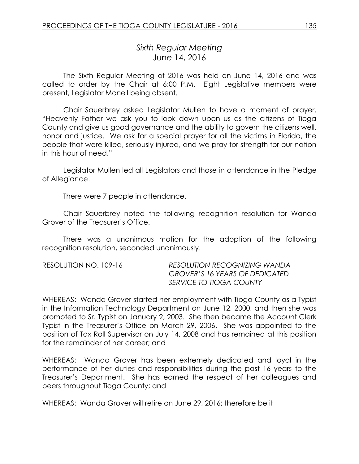# *Sixth Regular Meeting* June 14, 2016

The Sixth Regular Meeting of 2016 was held on June 14, 2016 and was called to order by the Chair at 6:00 P.M. Eight Legislative members were present, Legislator Monell being absent.

Chair Sauerbrey asked Legislator Mullen to have a moment of prayer. "Heavenly Father we ask you to look down upon us as the citizens of Tioga County and give us good governance and the ability to govern the citizens well, honor and justice. We ask for a special prayer for all the victims in Florida, the people that were killed, seriously injured, and we pray for strength for our nation in this hour of need."

Legislator Mullen led all Legislators and those in attendance in the Pledge of Allegiance.

There were 7 people in attendance.

Chair Sauerbrey noted the following recognition resolution for Wanda Grover of the Treasurer's Office.

There was a unanimous motion for the adoption of the following recognition resolution, seconded unanimously.

| RESOLUTION NO. 109-16 | <b>RESOLUTION RECOGNIZING WANDA</b>   |
|-----------------------|---------------------------------------|
|                       | <b>GROVER'S 16 YEARS OF DEDICATED</b> |
|                       | SERVICE TO TIOGA COUNTY               |

WHEREAS: Wanda Grover started her employment with Tioga County as a Typist in the Information Technology Department on June 12, 2000, and then she was promoted to Sr. Typist on January 2, 2003. She then became the Account Clerk Typist in the Treasurer's Office on March 29, 2006. She was appointed to the position of Tax Roll Supervisor on July 14, 2008 and has remained at this position for the remainder of her career; and

WHEREAS: Wanda Grover has been extremely dedicated and loyal in the performance of her duties and responsibilities during the past 16 years to the Treasurer's Department. She has earned the respect of her colleagues and peers throughout Tioga County; and

WHEREAS: Wanda Grover will retire on June 29, 2016; therefore be it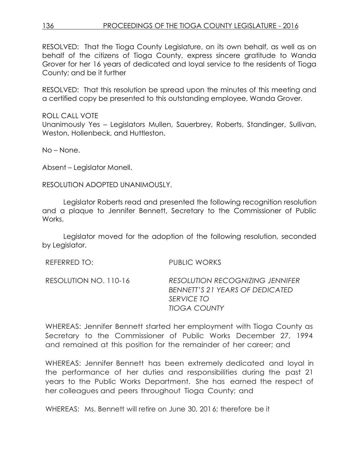RESOLVED: That the Tioga County Legislature, on its own behalf, as well as on behalf of the citizens of Tioga County, express sincere gratitude to Wanda Grover for her 16 years of dedicated and loyal service to the residents of Tioga County; and be it further

RESOLVED: That this resolution be spread upon the minutes of this meeting and a certified copy be presented to this outstanding employee, Wanda Grover.

ROLL CALL VOTE Unanimously Yes – Legislators Mullen, Sauerbrey, Roberts, Standinger, Sullivan, Weston, Hollenbeck, and Huttleston.

No – None.

Absent – Legislator Monell.

RESOLUTION ADOPTED UNANIMOUSLY.

Legislator Roberts read and presented the following recognition resolution and a plaque to Jennifer Bennett, Secretary to the Commissioner of Public Works.

Legislator moved for the adoption of the following resolution, seconded by Legislator.

| REFERRED TO:          | PUBLIC WORKS                                                                                                          |
|-----------------------|-----------------------------------------------------------------------------------------------------------------------|
| RESOLUTION NO. 110-16 | <b>RESOLUTION RECOGNIZING JENNIFER</b><br>BENNETT'S 21 YEARS OF DEDICATED<br><b>SERVICE TO</b><br><b>TIOGA COUNTY</b> |

WHEREAS: Jennifer Bennett started her employment with Tioga County as Secretary to the Commissioner of Public Works December 27, 1994 and remained at this position for the remainder of her career; and

WHEREAS: Jennifer Bennett has been extremely dedicated and loyal in the performance of her duties and responsibilities during the past 21 years to the Public Works Department. She has earned the respect of her colleagues and peers throughout Tioga County; and

WHEREAS: Ms. Bennett will retire on June 30, 2016; therefore be it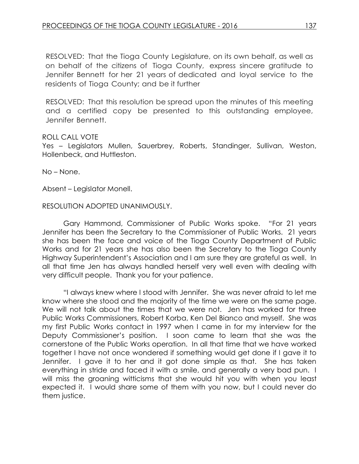RESOLVED: That the Tioga County Legislature, on its own behalf, as well as on behalf of the citizens of Tioga County, express sincere gratitude to Jennifer Bennett for her 21 years of dedicated and loyal service to the residents of Tioga County; and be it further

RESOLVED: That this resolution be spread upon the minutes of this meeting and a certified copy be presented to this outstanding employee, Jennifer Bennett.

#### ROLL CALL VOTE

Yes - Legislators Mullen, Sauerbrey, Roberts, Standinger, Sullivan, Weston, Hollenbeck, and Huttleston.

No – None.

Absent – Legislator Monell.

#### RESOLUTION ADOPTED UNANIMOUSLY.

Gary Hammond, Commissioner of Public Works spoke. "For 21 years Jennifer has been the Secretary to the Commissioner of Public Works. 21 years she has been the face and voice of the Tioga County Department of Public Works and for 21 years she has also been the Secretary to the Tioga County Highway Superintendent's Association and I am sure they are grateful as well. In all that time Jen has always handled herself very well even with dealing with very difficult people. Thank you for your patience.

"I always knew where I stood with Jennifer. She was never afraid to let me know where she stood and the majority of the time we were on the same page. We will not talk about the times that we were not. Jen has worked for three Public Works Commissioners, Robert Korba, Ken Del Bianco and myself. She was my first Public Works contact in 1997 when I came in for my interview for the Deputy Commissioner's position. I soon came to learn that she was the cornerstone of the Public Works operation. In all that time that we have worked together I have not once wondered if something would get done if I gave it to Jennifer. I gave it to her and it got done simple as that. She has taken everything in stride and faced it with a smile, and generally a very bad pun. I will miss the groaning witticisms that she would hit you with when you least expected it. I would share some of them with you now, but I could never do them justice.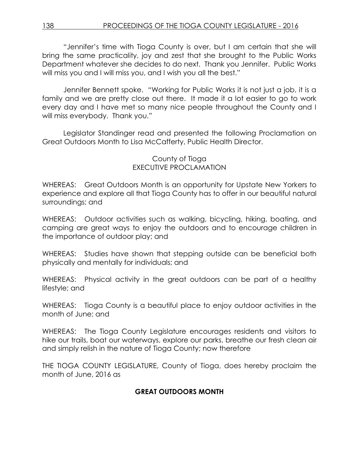"Jennifer's time with Tioga County is over, but I am certain that she will bring the same practicality, joy and zest that she brought to the Public Works Department whatever she decides to do next. Thank you Jennifer. Public Works will miss you and I will miss you, and I wish you all the best."

Jennifer Bennett spoke. "Working for Public Works it is not just a job, it is a family and we are pretty close out there. It made it a lot easier to go to work every day and I have met so many nice people throughout the County and I will miss everybody. Thank you."

Legislator Standinger read and presented the following Proclamation on Great Outdoors Month to Lisa McCafferty, Public Health Director.

# County of Tioga EXECUTIVE PROCLAMATION

WHEREAS: Great Outdoors Month is an opportunity for Upstate New Yorkers to experience and explore all that Tioga County has to offer in our beautiful natural surroundings; and

WHEREAS: Outdoor activities such as walking, bicycling, hiking, boating, and camping are great ways to enjoy the outdoors and to encourage children in the importance of outdoor play; and

WHEREAS: Studies have shown that stepping outside can be beneficial both physically and mentally for individuals; and

WHEREAS: Physical activity in the great outdoors can be part of a healthy lifestyle; and

WHEREAS: Tioga County is a beautiful place to enjoy outdoor activities in the month of June; and

WHEREAS: The Tioga County Legislature encourages residents and visitors to hike our trails, boat our waterways, explore our parks, breathe our fresh clean air and simply relish in the nature of Tioga County; now therefore

THE TIOGA COUNTY LEGISLATURE, County of Tioga, does hereby proclaim the month of June, 2016 as

# **GREAT OUTDOORS MONTH**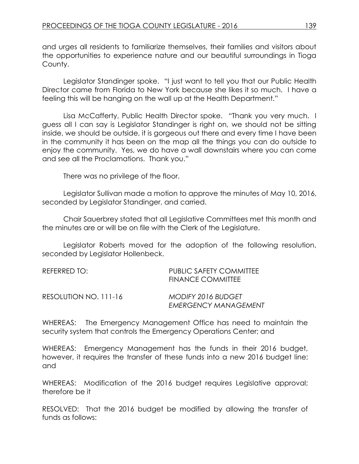and urges all residents to familiarize themselves, their families and visitors about the opportunities to experience nature and our beautiful surroundings in Tioga County.

Legislator Standinger spoke. "I just want to tell you that our Public Health Director came from Florida to New York because she likes it so much. I have a feeling this will be hanging on the wall up at the Health Department."

Lisa McCafferty, Public Health Director spoke. "Thank you very much. I guess all I can say is Legislator Standinger is right on, we should not be sitting inside, we should be outside, it is gorgeous out there and every time I have been in the community it has been on the map all the things you can do outside to enjoy the community. Yes, we do have a wall downstairs where you can come and see all the Proclamations. Thank you."

There was no privilege of the floor.

Legislator Sullivan made a motion to approve the minutes of May 10, 2016, seconded by Legislator Standinger, and carried.

Chair Sauerbrey stated that all Legislative Committees met this month and the minutes are or will be on file with the Clerk of the Legislature.

Legislator Roberts moved for the adoption of the following resolution, seconded by Legislator Hollenbeck.

| REFERRED TO:          | PUBLIC SAFETY COMMITTEE<br>FINANCE COMMITTEE      |
|-----------------------|---------------------------------------------------|
| RESOLUTION NO. 111-16 | MODIFY 2016 BUDGET<br><b>EMERGENCY MANAGEMENT</b> |

WHEREAS: The Emergency Management Office has need to maintain the security system that controls the Emergency Operations Center; and

WHEREAS: Emergency Management has the funds in their 2016 budget, however, it requires the transfer of these funds into a new 2016 budget line; and

WHEREAS: Modification of the 2016 budget requires Legislative approval; therefore be it

RESOLVED: That the 2016 budget be modified by allowing the transfer of funds as follows: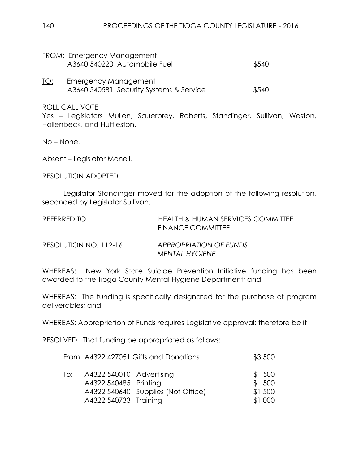|             | FROM: Emergency Management<br>A3640.540220 Automobile Fuel      | \$540 |
|-------------|-----------------------------------------------------------------|-------|
| <u> TO:</u> | Emergency Management<br>A3640.540581 Security Systems & Service | \$540 |

ROLL CALL VOTE

Yes – Legislators Mullen, Sauerbrey, Roberts, Standinger, Sullivan, Weston, Hollenbeck, and Huttleston.

No – None.

Absent – Legislator Monell.

RESOLUTION ADOPTED.

Legislator Standinger moved for the adoption of the following resolution, seconded by Legislator Sullivan.

| REFERRED TO:          | <b>HEALTH &amp; HUMAN SERVICES COMMITTEE</b><br><b>FINANCE COMMITTEE</b> |
|-----------------------|--------------------------------------------------------------------------|
| RESOLUTION NO. 112-16 | <b>APPROPRIATION OF FUNDS</b><br>MENTAL HYGIENE                          |

WHEREAS: New York State Suicide Prevention Initiative funding has been awarded to the Tioga County Mental Hygiene Department; and

WHEREAS: The funding is specifically designated for the purchase of program deliverables; and

WHEREAS: Appropriation of Funds requires Legislative approval; therefore be it

RESOLVED: That funding be appropriated as follows:

| \$3,500 |
|---------|
|         |

| To: | A4322 540010 Advertising |                                    | \$500   |
|-----|--------------------------|------------------------------------|---------|
|     | A4322 540485 Printing    |                                    | \$500   |
|     |                          | A4322 540640 Supplies (Not Office) | \$1,500 |
|     | A4322 540733 Training    |                                    | \$1,000 |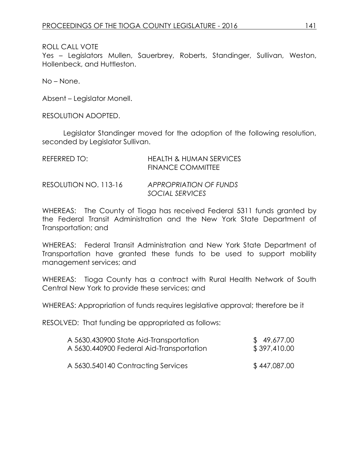### ROLL CALL VOTE

Yes – Legislators Mullen, Sauerbrey, Roberts, Standinger, Sullivan, Weston, Hollenbeck, and Huttleston.

No – None.

Absent – Legislator Monell.

RESOLUTION ADOPTED.

Legislator Standinger moved for the adoption of the following resolution, seconded by Legislator Sullivan.

| REFERRED TO:          | <b>HEALTH &amp; HUMAN SERVICES</b><br><b>FINANCE COMMITTEE</b> |
|-----------------------|----------------------------------------------------------------|
| RESOLUTION NO. 113-16 | <b>APPROPRIATION OF FUNDS</b><br>SOCIAL SERVICES               |

WHEREAS: The County of Tioga has received Federal 5311 funds granted by the Federal Transit Administration and the New York State Department of Transportation; and

WHEREAS: Federal Transit Administration and New York State Department of Transportation have granted these funds to be used to support mobility management services; and

WHEREAS: Tioga County has a contract with Rural Health Network of South Central New York to provide these services; and

WHEREAS: Appropriation of funds requires legislative approval; therefore be it

RESOLVED: That funding be appropriated as follows:

| A 5630.430900 State Aid-Transportation   | \$49,677.00  |
|------------------------------------------|--------------|
| A 5630.440900 Federal Aid-Transportation | \$397,410.00 |
| A 5630.540140 Contracting Services       | \$447,087.00 |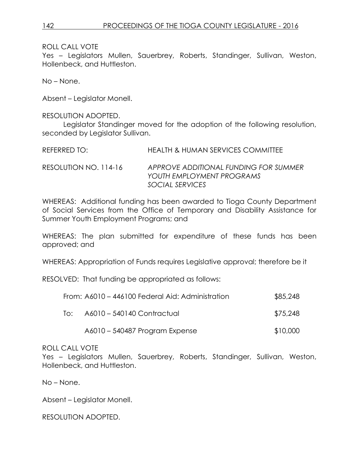ROLL CALL VOTE

Yes – Legislators Mullen, Sauerbrey, Roberts, Standinger, Sullivan, Weston, Hollenbeck, and Huttleston.

No – None.

Absent – Legislator Monell.

RESOLUTION ADOPTED.

Legislator Standinger moved for the adoption of the following resolution, seconded by Legislator Sullivan.

| REFERRED TO:             | HEALTH & HUMAN SERVICES COMMITTEE   |
|--------------------------|-------------------------------------|
| $RFCOMIITION NON 114-14$ | APPROVE ADDITIONAL FUNDING EOR SUMM |

RESOLUTION NO. 114-16 *APPROVE ADDITIONAL FUNDING FOR SUMMER YOUTH EMPLOYMENT PROGRAMS SOCIAL SERVICES*

WHEREAS: Additional funding has been awarded to Tioga County Department of Social Services from the Office of Temporary and Disability Assistance for Summer Youth Employment Programs; and

WHEREAS: The plan submitted for expenditure of these funds has been approved; and

WHEREAS: Appropriation of Funds requires Legislative approval; therefore be it

RESOLVED: That funding be appropriated as follows:

|     | From: A6010 - 446100 Federal Aid: Administration | \$85,248 |
|-----|--------------------------------------------------|----------|
| lo: | A6010 - 540140 Contractual                       | \$75,248 |
|     | A6010 – 540487 Program Expense                   | \$10,000 |

## ROLL CALL VOTE

Yes – Legislators Mullen, Sauerbrey, Roberts, Standinger, Sullivan, Weston, Hollenbeck, and Huttleston.

No – None.

Absent – Legislator Monell.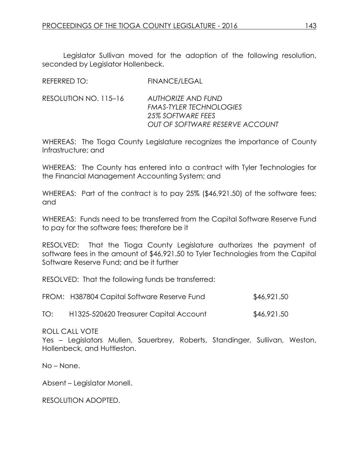Legislator Sullivan moved for the adoption of the following resolution, seconded by Legislator Hollenbeck.

| <b>REFERRED TO:</b> | <b>FINANCE/LEGAL</b> |
|---------------------|----------------------|
|                     |                      |

RESOLUTION NO. 115–16 *AUTHORIZE AND FUND FMAS-TYLER TECHNOLOGIES 25% SOFTWARE FEES OUT OF SOFTWARE RESERVE ACCOUNT*

WHEREAS: The Tioga County Legislature recognizes the importance of County Infrastructure; and

WHEREAS: The County has entered into a contract with Tyler Technologies for the Financial Management Accounting System; and

WHEREAS: Part of the contract is to pay 25% (\$46,921.50) of the software fees; and

WHEREAS: Funds need to be transferred from the Capital Software Reserve Fund to pay for the software fees; therefore be it

RESOLVED: That the Tioga County Legislature authorizes the payment of software fees in the amount of \$46,921.50 to Tyler Technologies from the Capital Software Reserve Fund; and be it further

RESOLVED: That the following funds be transferred:

| FROM: H387804 Capital Software Reserve Fund | \$46,921.50 |
|---------------------------------------------|-------------|
|                                             |             |

TO: H1325-520620 Treasurer Capital Account \$46,921.50

ROLL CALL VOTE

Yes – Legislators Mullen, Sauerbrey, Roberts, Standinger, Sullivan, Weston, Hollenbeck, and Huttleston.

No – None.

Absent – Legislator Monell.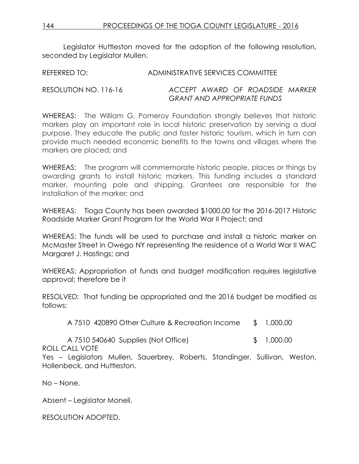Legislator Huttleston moved for the adoption of the following resolution, seconded by Leaislator Mullen.

REFERRED TO: ADMINISTRATIVE SERVICES COMMITTEE

# RESOLUTION NO. 116-16 *ACCEPT AWARD OF ROADSIDE MARKER GRANT AND APPROPRIATE FUNDS*

WHEREAS: The William G. Pomeroy Foundation strongly believes that historic markers play an important role in local historic preservation by serving a dual purpose. They educate the public and foster historic tourism, which in turn can provide much needed economic benefits to the towns and villages where the markers are placed; and

WHEREAS: The program will commemorate historic people, places or things by awarding grants to install historic markers. This funding includes a standard marker, mounting pole and shipping. Grantees are responsible for the installation of the marker; and

WHEREAS: Tioga County has been awarded \$1000.00 for the 2016-2017 Historic Roadside Marker Grant Program for the World War II Project; and

WHEREAS: The funds will be used to purchase and install a historic marker on McMaster Street in Owego NY representing the residence of a World War II WAC Margaret J. Hastings; and

WHEREAS: Appropriation of funds and budget modification requires legislative approval; therefore be it

RESOLVED: That funding be appropriated and the 2016 budget be modified as follows:

A 7510 420890 Other Culture & Recreation Income \$ 1,000.00

A 7510 540640 Supplies (Not Office) \$ 1,000.00

ROLL CALL VOTE

Yes – Legislators Mullen, Sauerbrey, Roberts, Standinger, Sullivan, Weston, Hollenbeck, and Huttleston.

No – None.

Absent – Legislator Monell.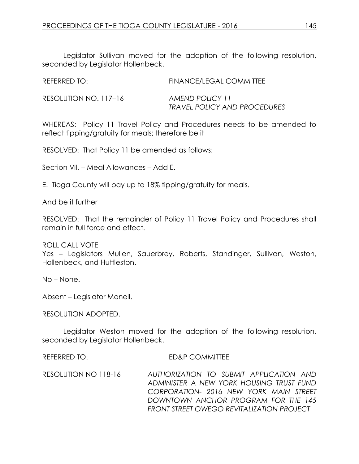Legislator Sullivan moved for the adoption of the following resolution, seconded by Legislator Hollenbeck.

| REFERRED TO:          | FINANCE/LEGAL COMMITTEE                         |
|-----------------------|-------------------------------------------------|
| RESOLUTION NO. 117–16 | AMEND POLICY 11<br>TRAVEL POLICY AND PROCEDURES |

WHEREAS: Policy 11 Travel Policy and Procedures needs to be amended to reflect tipping/gratuity for meals; therefore be it

RESOLVED: That Policy 11 be amended as follows:

Section VII. – Meal Allowances – Add E.

E. Tioga County will pay up to 18% tipping/gratuity for meals.

And be it further

RESOLVED: That the remainder of Policy 11 Travel Policy and Procedures shall remain in full force and effect.

ROLL CALL VOTE

Yes – Legislators Mullen, Sauerbrey, Roberts, Standinger, Sullivan, Weston, Hollenbeck, and Huttleston.

No – None.

Absent – Legislator Monell.

RESOLUTION ADOPTED.

Legislator Weston moved for the adoption of the following resolution, seconded by Legislator Hollenbeck.

REFERRED TO: ED&P COMMITTEE

RESOLUTION NO 118-16 *AUTHORIZATION TO SUBMIT APPLICATION AND ADMINISTER A NEW YORK HOUSING TRUST FUND CORPORATION- 2016 NEW YORK MAIN STREET DOWNTOWN ANCHOR PROGRAM FOR THE 145 FRONT STREET OWEGO REVITALIZATION PROJECT*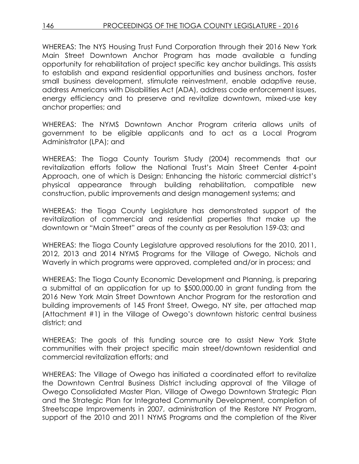WHEREAS: The NYS Housing Trust Fund Corporation through their 2016 New York Main Street Downtown Anchor Program has made available a funding opportunity for rehabilitation of project specific key anchor buildings. This assists to establish and expand residential opportunities and business anchors, foster small business development, stimulate reinvestment, enable adaptive reuse, address Americans with Disabilities Act (ADA), address code enforcement issues, energy efficiency and to preserve and revitalize downtown, mixed-use key anchor properties; and

WHEREAS: The NYMS Downtown Anchor Program criteria allows units of government to be eligible applicants and to act as a Local Program Administrator (LPA); and

WHEREAS: The Tioga County Tourism Study (2004) recommends that our revitalization efforts follow the National Trust's Main Street Center 4-point Approach, one of which is Design: Enhancing the historic commercial district's physical appearance through building rehabilitation, compatible new construction, public improvements and design management systems; and

WHEREAS: the Tioga County Legislature has demonstrated support of the revitalization of commercial and residential properties that make up the downtown or "Main Street" areas of the county as per Resolution 159-03; and

WHEREAS: the Tioga County Legislature approved resolutions for the 2010, 2011, 2012, 2013 and 2014 NYMS Programs for the Village of Owego, Nichols and Waverly in which programs were approved, completed and/or in process; and

WHEREAS: The Tioga County Economic Development and Planning, is preparing a submittal of an application for up to \$500,000.00 in grant funding from the 2016 New York Main Street Downtown Anchor Program for the restoration and building improvements of 145 Front Street, Owego, NY site, per attached map (Attachment #1) in the Village of Owego's downtown historic central business district; and

WHEREAS: The goals of this funding source are to assist New York State communities with their project specific main street/downtown residential and commercial revitalization efforts; and

WHEREAS: The Village of Owego has initiated a coordinated effort to revitalize the Downtown Central Business District including approval of the Village of Owego Consolidated Master Plan, Village of Owego Downtown Strategic Plan and the Strategic Plan for Integrated Community Development, completion of Streetscape Improvements in 2007, administration of the Restore NY Program, support of the 2010 and 2011 NYMS Programs and the completion of the River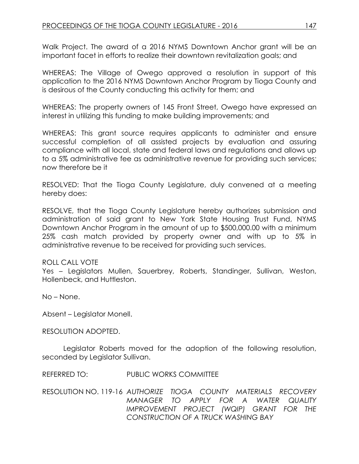Walk Project. The award of a 2016 NYMS Downtown Anchor grant will be an important facet in efforts to realize their downtown revitalization goals; and

WHEREAS: The Village of Owego approved a resolution in support of this application to the 2016 NYMS Downtown Anchor Program by Tioga County and is desirous of the County conducting this activity for them; and

WHEREAS: The property owners of 145 Front Street, Owego have expressed an interest in utilizing this funding to make building improvements; and

WHEREAS: This grant source requires applicants to administer and ensure successful completion of all assisted projects by evaluation and assuring compliance with all local, state and federal laws and regulations and allows up to a 5% administrative fee as administrative revenue for providing such services; now therefore be it

RESOLVED: That the Tioga County Legislature, duly convened at a meeting hereby does:

RESOLVE, that the Tioga County Legislature hereby authorizes submission and administration of said grant to New York State Housing Trust Fund, NYMS Downtown Anchor Program in the amount of up to \$500,000.00 with a minimum 25% cash match provided by property owner and with up to 5% in administrative revenue to be received for providing such services.

### ROLL CALL VOTE

Yes – Legislators Mullen, Sauerbrey, Roberts, Standinger, Sullivan, Weston, Hollenbeck, and Huttleston.

No – None.

Absent – Legislator Monell.

### RESOLUTION ADOPTED.

Legislator Roberts moved for the adoption of the following resolution, seconded by Legislator Sullivan.

REFERRED TO: PUBLIC WORKS COMMITTEE

RESOLUTION NO. 119-16 *AUTHORIZE TIOGA COUNTY MATERIALS RECOVERY MANAGER TO APPLY FOR A WATER QUALITY IMPROVEMENT PROJECT (WQIP) GRANT FOR THE CONSTRUCTION OF A TRUCK WASHING BAY*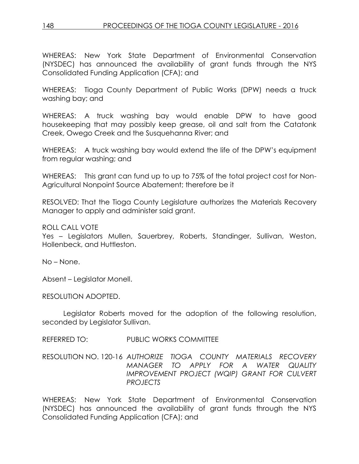WHEREAS: New York State Department of Environmental Conservation (NYSDEC) has announced the availability of grant funds through the NYS Consolidated Funding Application (CFA); and

WHEREAS: Tioga County Department of Public Works (DPW) needs a truck washing bay; and

WHEREAS: A truck washing bay would enable DPW to have good housekeeping that may possibly keep grease, oil and salt from the Catatonk Creek, Owego Creek and the Susquehanna River; and

WHEREAS: A truck washing bay would extend the life of the DPW's equipment from regular washing; and

WHEREAS: This grant can fund up to up to 75% of the total project cost for Non-Agricultural Nonpoint Source Abatement; therefore be it

RESOLVED: That the Tioga County Legislature authorizes the Materials Recovery Manager to apply and administer said grant.

ROLL CALL VOTE

Yes – Legislators Mullen, Sauerbrey, Roberts, Standinger, Sullivan, Weston, Hollenbeck, and Huttleston.

No – None.

Absent – Legislator Monell.

RESOLUTION ADOPTED.

Legislator Roberts moved for the adoption of the following resolution, seconded by Legislator Sullivan.

REFERRED TO: PUBLIC WORKS COMMITTEE

RESOLUTION NO. 120-16 *AUTHORIZE TIOGA COUNTY MATERIALS RECOVERY MANAGER TO APPLY FOR A WATER QUALITY IMPROVEMENT PROJECT (WQIP) GRANT FOR CULVERT PROJECTS*

WHEREAS: New York State Department of Environmental Conservation (NYSDEC) has announced the availability of grant funds through the NYS Consolidated Funding Application (CFA); and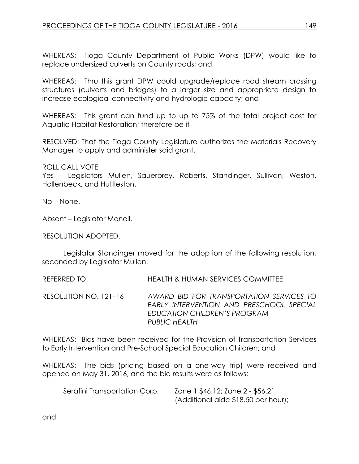WHEREAS: Tioga County Department of Public Works (DPW) would like to replace undersized culverts on County roads; and

WHEREAS: Thru this grant DPW could upgrade/replace road stream crossing structures (culverts and bridges) to a larger size and appropriate design to increase ecological connectivity and hydrologic capacity; and

WHEREAS: This grant can fund up to up to 75% of the total project cost for Aquatic Habitat Restoration; therefore be it

RESOLVED: That the Tioga County Legislature authorizes the Materials Recovery Manager to apply and administer said grant.

ROLL CALL VOTE Yes – Legislators Mullen, Sauerbrey, Roberts, Standinger, Sullivan, Weston, Hollenbeck, and Huttleston.

No – None.

Absent – Legislator Monell.

RESOLUTION ADOPTED.

Legislator Standinger moved for the adoption of the following resolution, seconded by Legislator Mullen.

REFERRED TO: HEALTH & HUMAN SERVICES COMMITTEE

RESOLUTION NO. 121–16 *AWARD BID FOR TRANSPORTATION SERVICES TO EARLY INTERVENTION AND PRESCHOOL SPECIAL EDUCATION CHILDREN'S PROGRAM PUBLIC HEALTH*

WHEREAS: Bids have been received for the Provision of Transportation Services to Early Intervention and Pre-School Special Education Children; and

WHEREAS: The bids (pricing based on a one-way trip) were received and opened on May 31, 2016, and the bid results were as follows:

| Serafini Transportation Corp. | Zone 1 \$46.12; Zone 2 - \$56.21    |
|-------------------------------|-------------------------------------|
|                               | (Additional aide \$18.50 per hour); |

and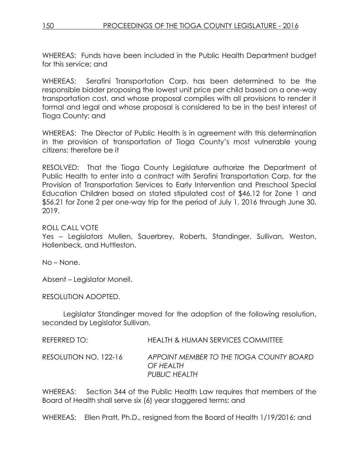WHEREAS: Funds have been included in the Public Health Department budget for this service; and

WHEREAS: Serafini Transportation Corp. has been determined to be the responsible bidder proposing the lowest unit price per child based on a one-way transportation cost, and whose proposal complies with all provisions to render it formal and legal and whose proposal is considered to be in the best interest of Tioga County; and

WHEREAS: The Director of Public Health is in agreement with this determination in the provision of transportation of Tioga County's most vulnerable young citizens; therefore be it

RESOLVED: That the Tioga County Legislature authorize the Department of Public Health to enter into a contract with Serafini Transportation Corp. for the Provision of Transportation Services to Early Intervention and Preschool Special Education Children based on stated stipulated cost of \$46.12 for Zone 1 and \$56.21 for Zone 2 per one-way trip for the period of July 1, 2016 through June 30, 2019.

ROLL CALL VOTE

Yes – Legislators Mullen, Sauerbrey, Roberts, Standinger, Sullivan, Weston, Hollenbeck, and Huttleston.

No – None.

Absent – Legislator Monell.

RESOLUTION ADOPTED.

Legislator Standinger moved for the adoption of the following resolution, seconded by Legislator Sullivan.

REFERRED TO: HEALTH & HUMAN SERVICES COMMITTEE

RESOLUTION NO. 122-16 *APPOINT MEMBER TO THE TIOGA COUNTY BOARD OF HEALTH PUBLIC HEALTH*

WHEREAS: Section 344 of the Public Health Law requires that members of the Board of Health shall serve six (6) year staggered terms; and

WHEREAS: Ellen Pratt, Ph.D., resigned from the Board of Health 1/19/2016; and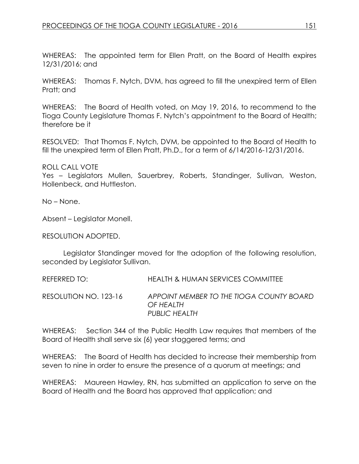WHEREAS: The appointed term for Ellen Pratt, on the Board of Health expires 12/31/2016; and

WHEREAS: Thomas F. Nytch, DVM, has agreed to fill the unexpired term of Ellen Pratt; and

WHEREAS: The Board of Health voted, on May 19, 2016, to recommend to the Tioga County Legislature Thomas F. Nytch's appointment to the Board of Health; therefore be it

RESOLVED: That Thomas F. Nytch, DVM, be appointed to the Board of Health to fill the unexpired term of Ellen Pratt, Ph.D., for a term of 6/14/2016-12/31/2016.

ROLL CALL VOTE Yes – Legislators Mullen, Sauerbrey, Roberts, Standinger, Sullivan, Weston, Hollenbeck, and Huttleston.

No – None.

Absent – Legislator Monell.

RESOLUTION ADOPTED.

Legislator Standinger moved for the adoption of the following resolution, seconded by Legislator Sullivan.

REFERRED TO: HEALTH & HUMAN SERVICES COMMITTEE RESOLUTION NO. 123-16 *APPOINT MEMBER TO THE TIOGA COUNTY BOARD OF HEALTH PUBLIC HEALTH*

WHEREAS: Section 344 of the Public Health Law requires that members of the Board of Health shall serve six (6) year staggered terms; and

WHEREAS: The Board of Health has decided to increase their membership from seven to nine in order to ensure the presence of a quorum at meetings; and

WHEREAS: Maureen Hawley, RN, has submitted an application to serve on the Board of Health and the Board has approved that application; and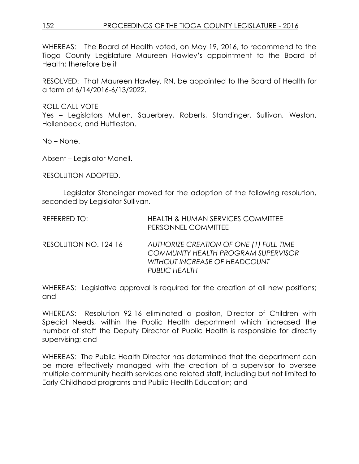WHEREAS: The Board of Health voted, on May 19, 2016, to recommend to the Tioga County Legislature Maureen Hawley's appointment to the Board of Health; therefore be it

RESOLVED: That Maureen Hawley, RN, be appointed to the Board of Health for a term of 6/14/2016-6/13/2022.

ROLL CALL VOTE

Yes – Legislators Mullen, Sauerbrey, Roberts, Standinger, Sullivan, Weston, Hollenbeck, and Huttleston.

No – None.

Absent – Legislator Monell.

RESOLUTION ADOPTED.

Legislator Standinger moved for the adoption of the following resolution, seconded by Legislator Sullivan.

| REFERRED TO:          | <b>HEALTH &amp; HUMAN SERVICES COMMITTEE</b><br>PERSONNEL COMMITTEE                                                                            |
|-----------------------|------------------------------------------------------------------------------------------------------------------------------------------------|
| RESOLUTION NO. 124-16 | AUTHORIZE CREATION OF ONE (1) FULL-TIME<br><b>COMMUNITY HEALTH PROGRAM SUPERVISOR</b><br>WITHOUT INCREASE OF HEADCOUNT<br><b>PUBLIC HEALTH</b> |

WHEREAS: Legislative approval is required for the creation of all new positions; and

WHEREAS: Resolution 92-16 eliminated a positon, Director of Children with Special Needs, within the Public Health department which increased the number of staff the Deputy Director of Public Health is responsible for directly supervising; and

WHEREAS: The Public Health Director has determined that the department can be more effectively managed with the creation of a supervisor to oversee multiple community health services and related staff, including but not limited to Early Childhood programs and Public Health Education; and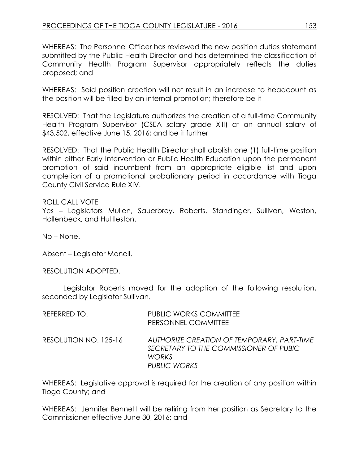WHEREAS: The Personnel Officer has reviewed the new position duties statement submitted by the Public Health Director and has determined the classification of Community Health Program Supervisor appropriately reflects the duties proposed; and

WHEREAS: Said position creation will not result in an increase to headcount as the position will be filled by an internal promotion; therefore be it

RESOLVED: That the Legislature authorizes the creation of a full-time Community Health Program Supervisor (CSEA salary grade XIII) at an annual salary of \$43,502, effective June 15, 2016; and be it further

RESOLVED: That the Public Health Director shall abolish one (1) full-time position within either Early Intervention or Public Health Education upon the permanent promotion of said incumbent from an appropriate eligible list and upon completion of a promotional probationary period in accordance with Tioga County Civil Service Rule XIV.

### ROLL CALL VOTE

Yes – Legislators Mullen, Sauerbrey, Roberts, Standinger, Sullivan, Weston, Hollenbeck, and Huttleston.

No – None.

Absent – Legislator Monell.

RESOLUTION ADOPTED.

Legislator Roberts moved for the adoption of the following resolution, seconded by Legislator Sullivan.

| REFERRED TO:          | <b>PUBLIC WORKS COMMITTEE</b><br>PERSONNEL COMMITTEE                                                                 |
|-----------------------|----------------------------------------------------------------------------------------------------------------------|
| RESOLUTION NO. 125-16 | AUTHORIZE CREATION OF TEMPORARY, PART-TIME<br>SECRETARY TO THE COMMISSIONER OF PUBIC<br><b>WORKS</b><br>PUBLIC WORKS |

WHEREAS: Legislative approval is required for the creation of any position within Tioga County; and

WHEREAS: Jennifer Bennett will be retiring from her position as Secretary to the Commissioner effective June 30, 2016; and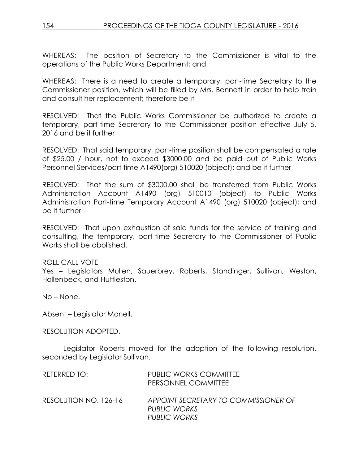WHEREAS: The position of Secretary to the Commissioner is vital to the operations of the Public Works Department; and

WHEREAS: There is a need to create a temporary, part-time Secretary to the Commissioner position, which will be filled by Mrs. Bennett in order to help train and consult her replacement; therefore be it

RESOLVED: That the Public Works Commissioner be authorized to create a temporary, part-time Secretary to the Commissioner position effective July 5, 2016 and be it further

RESOLVED: That said temporary, part-time position shall be compensated a rate of \$25.00 / hour, not to exceed \$3000.00 and be paid out of Public Works Personnel Services/part time A1490(org) 510020 (object); and be it further

RESOLVED: That the sum of \$3000.00 shall be transferred from Public Works Administration Account A1490 (org) 510010 (object) to Public Works Administration Part-time Temporary Account A1490 (org) 510020 (object); and be it further

RESOLVED: That upon exhaustion of said funds for the service of training and consulting, the temporary, part-time Secretary to the Commissioner of Public Works shall be abolished.

### ROLL CALL VOTE

Yes – Legislators Mullen, Sauerbrey, Roberts, Standinger, Sullivan, Weston, Hollenbeck, and Huttleston.

No – None.

Absent – Legislator Monell.

RESOLUTION ADOPTED.

Legislator Roberts moved for the adoption of the following resolution, seconded by Legislator Sullivan.

| REFERRED TO:          | <b>PUBLIC WORKS COMMITTEE</b><br>PERSONNEL COMMITTEE                 |
|-----------------------|----------------------------------------------------------------------|
| RESOLUTION NO. 126-16 | APPOINT SECRETARY TO COMMISSIONER OF<br>PUBLIC WORKS<br>PUBLIC WORKS |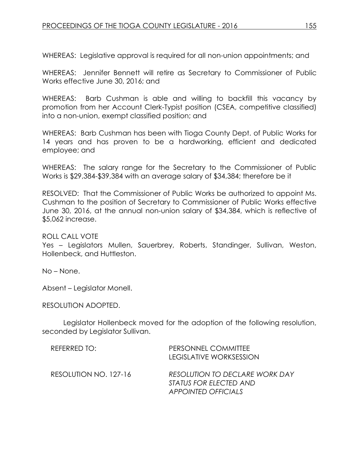WHEREAS: Legislative approval is required for all non-union appointments; and

WHEREAS: Jennifer Bennett will retire as Secretary to Commissioner of Public Works effective June 30, 2016; and

WHEREAS: Barb Cushman is able and willing to backfill this vacancy by promotion from her Account Clerk-Typist position (CSEA, competitive classified) into a non-union, exempt classified position; and

WHEREAS: Barb Cushman has been with Tioga County Dept. of Public Works for 14 years and has proven to be a hardworking, efficient and dedicated employee; and

WHEREAS: The salary range for the Secretary to the Commissioner of Public Works is \$29,384-\$39,384 with an average salary of \$34,384; therefore be it

RESOLVED: That the Commissioner of Public Works be authorized to appoint Ms. Cushman to the position of Secretary to Commissioner of Public Works effective June 30, 2016, at the annual non-union salary of \$34,384, which is reflective of \$5,062 increase.

ROLL CALL VOTE

Yes – Legislators Mullen, Sauerbrey, Roberts, Standinger, Sullivan, Weston, Hollenbeck, and Huttleston.

No – None.

Absent – Legislator Monell.

RESOLUTION ADOPTED.

Legislator Hollenbeck moved for the adoption of the following resolution, seconded by Legislator Sullivan.

| REFERRED TO:          | PERSONNEL COMMITTEE<br>LEGISLATIVE WORKSESSION                                         |
|-----------------------|----------------------------------------------------------------------------------------|
| RESOLUTION NO. 127-16 | RESOLUTION TO DECLARE WORK DAY<br>STATUS FOR ELECTED AND<br><b>APPOINTED OFFICIALS</b> |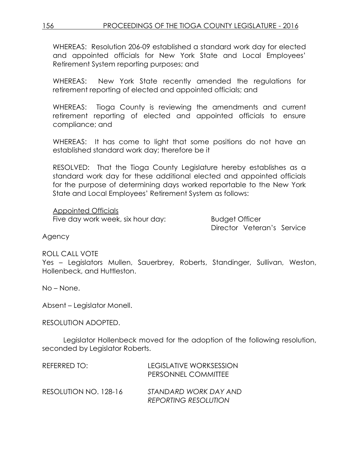156 PROCEEDINGS OF THE TIOGA COUNTY LEGISLATURE - 2016

WHEREAS: Resolution 206-09 established a standard work day for elected and appointed officials for New York State and Local Employees' Retirement System reporting purposes; and

WHEREAS: New York State recently amended the regulations for retirement reporting of elected and appointed officials; and

WHEREAS: Tioga County is reviewing the amendments and current retirement reporting of elected and appointed officials to ensure compliance; and

WHEREAS: It has come to light that some positions do not have an established standard work day; therefore be it

RESOLVED: That the Tioga County Legislature hereby establishes as a standard work day for these additional elected and appointed officials for the purpose of determining days worked reportable to the New York State and Local Employees' Retirement System as follows:

Appointed Officials Five day work week, six hour day: Budget Officer

Director Veteran's Service

Agency

ROLL CALL VOTE

Yes – Legislators Mullen, Sauerbrey, Roberts, Standinger, Sullivan, Weston, Hollenbeck, and Huttleston.

No – None.

Absent – Legislator Monell.

RESOLUTION ADOPTED.

Legislator Hollenbeck moved for the adoption of the following resolution, seconded by Legislator Roberts.

| REFERRED TO:          | LEGISLATIVE WORKSESSION<br>PERSONNEL COMMITTEE       |
|-----------------------|------------------------------------------------------|
| RESOLUTION NO. 128-16 | STANDARD WORK DAY AND<br><b>REPORTING RESOLUTION</b> |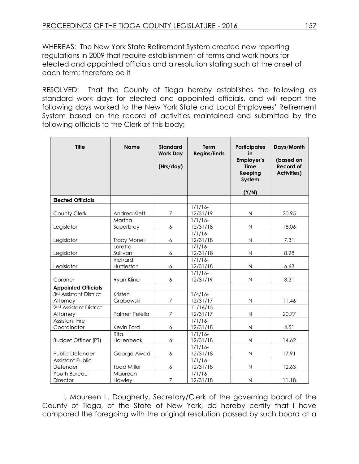WHEREAS: The New York State Retirement System created new reporting regulations in 2009 that require establishment of terms and work hours for elected and appointed officials and a resolution stating such at the onset of each term; therefore be it

RESOLVED: That the County of Tioga hereby establishes the following as standard work days for elected and appointed officials, and will report the following days worked to the New York State and Local Employees' Retirement System based on the record of activities maintained and submitted by the following officials to the Clerk of this body;

| <b>Title</b>                                   | <b>Name</b>           | <b>Standard</b><br><b>Work Day</b><br>(Hrs/day) | <b>Term</b><br><b>Begins/Ends</b> | <b>Participates</b><br>in<br><b>Employer's</b><br><b>Time</b><br>Keeping<br>System<br>(Y/N) | Days/Month<br>(based on<br><b>Record of</b><br><b>Activities)</b> |
|------------------------------------------------|-----------------------|-------------------------------------------------|-----------------------------------|---------------------------------------------------------------------------------------------|-------------------------------------------------------------------|
| <b>Elected Officials</b>                       |                       |                                                 |                                   |                                                                                             |                                                                   |
| County Clerk                                   | Andrea Klett          | 7                                               | $1/1/16$ -<br>12/31/19            | $\mathsf N$                                                                                 | 20.95                                                             |
| Legislator                                     | Martha<br>Sauerbrey   | 6                                               | $1/1/16$ -<br>12/31/18            | $\mathsf N$                                                                                 | 18.06                                                             |
| Legislator                                     | <b>Tracy Monell</b>   | 6                                               | $1/1/16$ -<br>12/31/18            | $\mathsf N$                                                                                 | 7.31                                                              |
| Legislator                                     | Loretta<br>Sullivan   | 6                                               | $1/1/16$ -<br>12/31/18            | N                                                                                           | 8.98                                                              |
| Legislator                                     | Richard<br>Huttleston | 6                                               | $1/1/16$ -<br>12/31/18            | N                                                                                           | 6.63                                                              |
| Coroner                                        | Ryan Kline            | 6                                               | $1/1/16$ -<br>12/31/19            | $\mathsf{N}$                                                                                | 3.31                                                              |
| <b>Appointed Officials</b>                     |                       |                                                 |                                   |                                                                                             |                                                                   |
| 3rd Assistant District<br>Attorney             | Kristen<br>Grabowski  | $\overline{7}$                                  | $1/4/16$ -<br>12/31/17            | N                                                                                           | 11.46                                                             |
| 2 <sup>nd</sup> Assistant District<br>Attorney | Palmer Pelella        | 7                                               | $11/16/15$ -<br>12/31/17          | N                                                                                           | 20.77                                                             |
| <b>Assistant Fire</b><br>Coordinator           | Kevin Ford            | 6                                               | $1/1/16$ -<br>12/31/18            | $\mathsf{N}$                                                                                | 4.51                                                              |
| <b>Budget Officer (PT)</b>                     | Rita<br>Hollenbeck    | 6                                               | $1/1/16-$<br>12/31/18             | $\mathsf{N}$                                                                                | 14.62                                                             |
| Public Defender                                | George Awad           | 6                                               | $1/1/16-$<br>12/31/18             | $\mathsf{N}$                                                                                | 17.91                                                             |
| <b>Assistant Public</b><br>Defender            | <b>Todd Miller</b>    | 6                                               | $1/1/16$ -<br>12/31/18            | $\mathsf{N}$                                                                                | 12.63                                                             |
| Youth Bureau<br>Director                       | Maureen<br>Hawley     | 7                                               | $1/1/16$ -<br>12/31/18            | $\mathsf{N}$                                                                                | 11.18                                                             |

I, Maureen L. Dougherty, Secretary/Clerk of the governing board of the County of Tioga, of the State of New York, do hereby certify that I have compared the foregoing with the original resolution passed by such board at a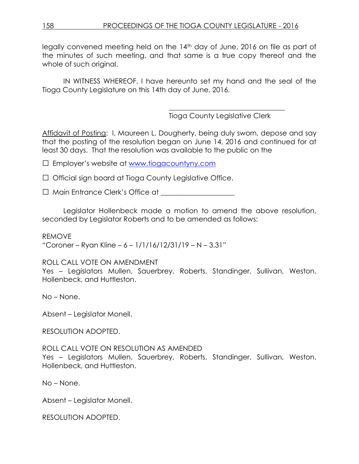legally convened meeting held on the 14th day of June, 2016 on file as part of the minutes of such meeting, and that same is a true copy thereof and the whole of such original.

IN WITNESS WHEREOF, I have hereunto set my hand and the seal of the Tioga County Legislature on this 14th day of June, 2016.

Tioga County Legislative Clerk

\_\_\_\_\_\_\_\_\_\_\_\_\_\_\_\_\_\_\_\_\_\_\_\_\_\_\_\_\_\_\_\_\_

Affidavit of Posting: I, Maureen L. Dougherty, being duly sworn, depose and say that the posting of the resolution began on June 14, 2016 and continued for at least 30 days. That the resolution was available to the public on the

□ Employer's website at [www.tiogacountyny.com](http://www.tiogacountyny.com/)

□ Official sign board at Tioga County Legislative Office.

□ Main Entrance Clerk's Office at \_\_\_\_\_\_\_\_\_\_\_\_\_\_\_\_\_\_\_\_\_

Legislator Hollenbeck made a motion to amend the above resolution, seconded by Legislator Roberts and to be amended as follows:

REMOVE "Coroner – Ryan Kline – 6 –  $1/1/16/12/31/19$  – N – 3.31"

## ROLL CALL VOTE ON AMENDMENT

Yes – Legislators Mullen, Sauerbrey, Roberts, Standinger, Sullivan, Weston, Hollenbeck, and Huttleston.

No – None.

Absent – Legislator Monell.

RESOLUTION ADOPTED.

ROLL CALL VOTE ON RESOLUTION AS AMENDED

Yes – Legislators Mullen, Sauerbrey, Roberts, Standinger, Sullivan, Weston, Hollenbeck, and Huttleston.

No – None.

Absent – Legislator Monell.